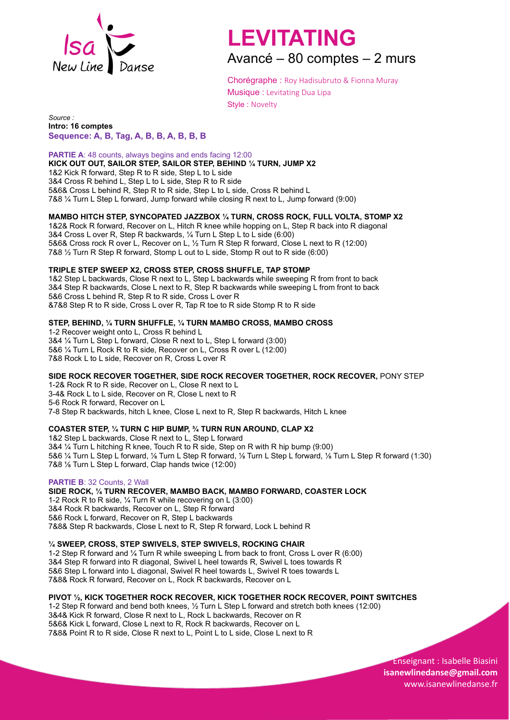

# **LEVITATING**

Avancé – 80 comptes – 2 murs

Chorégraphe : Roy Hadisubruto & Fionna Muray Musique : Levitating Dua Lipa Style : Novelty

*Source :* **Intro: 16 comptes Sequence: A, B, Tag, A, B, B, A, B, B, B**

**PARTIE A: 48 counts, always begins and ends facing 12:00 KICK OUT OUT, SAILOR STEP, SAILOR STEP, BEHIND ¼ TURN, JUMP X2** 1&2 Kick R forward, Step R to R side, Step L to L side 3&4 Cross R behind L, Step L to L side, Step R to R side 5&6& Cross L behind R, Step R to R side, Step L to L side, Cross R behind L 7&8 ¼ Turn L Step L forward, Jump forward while closing R next to L, Jump forward (9:00)

# **MAMBO HITCH STEP, SYNCOPATED JAZZBOX ¼ TURN, CROSS ROCK, FULL VOLTA, STOMP X2**

1&2& Rock R forward, Recover on L, Hitch R knee while hopping on L, Step R back into R diagonal 3&4 Cross L over R, Step R backwards, ¼ Turn L Step L to L side (6:00) 5&6& Cross rock R over L, Recover on L, ½ Turn R Step R forward, Close L next to R (12:00) 7&8 ½ Turn R Step R forward, Stomp L out to L side, Stomp R out to R side (6:00)

## **TRIPLE STEP SWEEP X2, CROSS STEP, CROSS SHUFFLE, TAP STOMP**

1&2 Step L backwards, Close R next to L, Step L backwards while sweeping R from front to back 3&4 Step R backwards, Close L next to R, Step R backwards while sweeping L from front to back 5&6 Cross L behind R, Step R to R side, Cross L over R &7&8 Step R to R side, Cross L over R, Tap R toe to R side Stomp R to R side

## **STEP, BEHIND, ¼ TURN SHUFFLE, ¼ TURN MAMBO CROSS, MAMBO CROSS**

1-2 Recover weight onto L, Cross R behind L 3&4 ¼ Turn L Step L forward, Close R next to L, Step L forward (3:00) 5&6 ¼ Turn L Rock R to R side, Recover on L, Cross R over L (12:00) 7&8 Rock L to L side, Recover on R, Cross L over R

#### **SIDE ROCK RECOVER TOGETHER, SIDE ROCK RECOVER TOGETHER, ROCK RECOVER,** PONY STEP

1-2& Rock R to R side, Recover on L, Close R next to L 3-4& Rock L to L side, Recover on R, Close L next to R 5-6 Rock R forward, Recover on L 7-8 Step R backwards, hitch L knee, Close L next to R, Step R backwards, Hitch L knee

#### **COASTER STEP, ¼ TURN C HIP BUMP, ¾ TURN RUN AROUND, CLAP X2**

1&2 Step L backwards, Close R next to L, Step L forward 3&4 ¼ Turn L hitching R knee, Touch R to R side, Step on R with R hip bump (9:00) 5&6 ¼ Turn L Step L forward, ⅛ Turn L Step R forward, ⅛ Turn L Step L forward, ⅛ Turn L Step R forward (1:30) 7&8 ⅛ Turn L Step L forward, Clap hands twice (12:00)

#### **PARTIE B**: 32 Counts, 2 Wall

# **SIDE ROCK, ¼ TURN RECOVER, MAMBO BACK, MAMBO FORWARD, COASTER LOCK**

1-2 Rock R to R side, ¼ Turn R while recovering on L (3:00) 3&4 Rock R backwards, Recover on L, Step R forward 5&6 Rock L forward, Recover on R, Step L backwards 7&8& Step R backwards, Close L next to R, Step R forward, Lock L behind R

#### **¼ SWEEP, CROSS, STEP SWIVELS, STEP SWIVELS, ROCKING CHAIR**

1-2 Step R forward and ¼ Turn R while sweeping L from back to front, Cross L over R (6:00) 3&4 Step R forward into R diagonal, Swivel L heel towards R, Swivel L toes towards R 5&6 Step L forward into L diagonal, Swivel R heel towards L, Swivel R toes towards L 7&8& Rock R forward, Recover on L, Rock R backwards, Recover on L

# **PIVOT ½, KICK TOGETHER ROCK RECOVER, KICK TOGETHER ROCK RECOVER, POINT SWITCHES**

1-2 Step R forward and bend both knees, ½ Turn L Step L forward and stretch both knees (12:00) 3&4& Kick R forward, Close R next to L, Rock L backwards, Recover on R 5&6& Kick L forward, Close L next to R, Rock R backwards, Recover on L 7&8& Point R to R side, Close R next to L, Point L to L side, Close L next to R

> Enseignant : Isabelle Biasini **[isan](mailto:isadums@free.fr)ewlinedanse@gmail.com** www.isanewlinedanse.fr